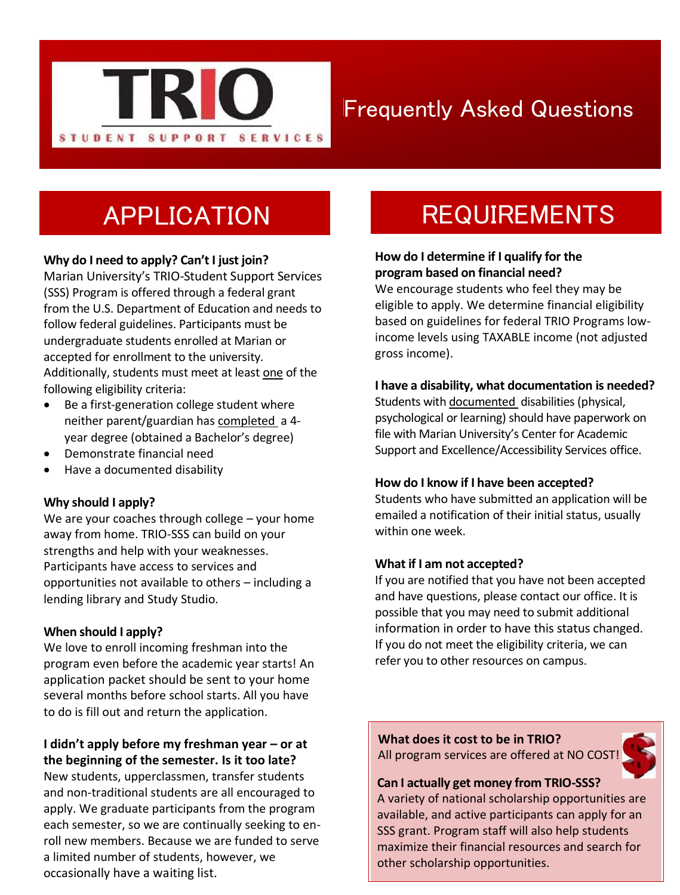

## Frequently Asked Questions

## APPLICATION

### **Why do I need to apply? Can't I just join?**

Marian University's TRIO-Student Support Services (SSS) Program is offered through a federal grant from the U.S. Department of Education and needs to follow federal guidelines. Participants must be undergraduate students enrolled at Marian or accepted for enrollment to the university. Additionally, students must meet at least one of the following eligibility criteria:

- Be a first-generation college student where neither parent/guardian has completed a 4 year degree (obtained a Bachelor's degree)
- Demonstrate financial need
- Have a documented disability

#### **Why should I apply?**

We are your coaches through college – your home away from home. TRIO-SSS can build on your strengths and help with your weaknesses. Participants have access to services and opportunities not available to others – including a lending library and Study Studio.

#### **When should I apply?**

We love to enroll incoming freshman into the program even before the academic year starts! An application packet should be sent to your home several months before school starts. All you have to do is fill out and return the application.

## **I didn't apply before my freshman year – or at**

**the beginning of the semester. Is it too late?**  New students, upperclassmen, transfer students and non-traditional students are all encouraged to apply. We graduate participants from the program each semester, so we are continually seeking to enroll new members. Because we are funded to serve a limited number of students, however, we occasionally have a waiting list.

## **REQUIREMENTS**

#### **How do I determine if I qualify for the program based on financial need?**

We encourage students who feel they may be eligible to apply. We determine financial eligibility based on guidelines for federal TRIO Programs lowincome levels using TAXABLE income (not adjusted gross income).

#### **I have a disability, what documentation is needed?**

Students with documented disabilities (physical, psychological or learning) should have paperwork on file with Marian University's Center for Academic Support and Excellence/Accessibility Services office.

#### **How do I know if I have been accepted?**

Students who have submitted an application will be emailed a notification of their initial status, usually within one week.

#### **What if I am not accepted?**

If you are notified that you have not been accepted and have questions, please contact our office. It is possible that you may need to submit additional information in order to have this status changed. If you do not meet the eligibility criteria, we can refer you to other resources on campus.

**What does it cost to be in TRIO?** All program services are offered at NO COST!

#### **Can I actually get money from TRIO-SSS?**

A variety of national scholarship opportunities are available, and active participants can apply for an SSS grant. Program staff will also help students maximize their financial resources and search for other scholarship opportunities.